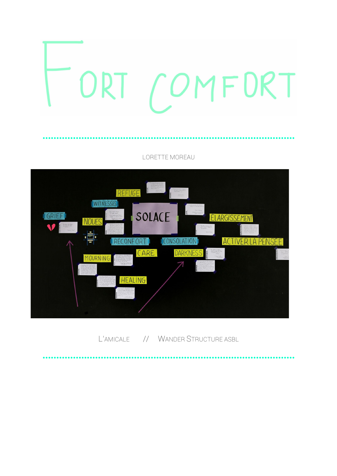

LORETTE MOREAU



L'AMICALE // WANDER STRUCTURE ASBL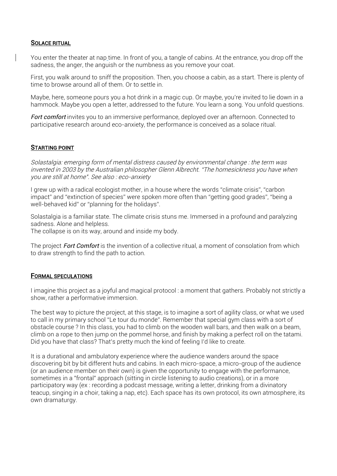## SOLACE RITUAL

You enter the theater at nap time. In front of you, a tangle of cabins. At the entrance, you drop off the sadness, the anger, the anguish or the numbness as you remove your coat.

First, you walk around to sniff the proposition. Then, you choose a cabin, as a start. There is plenty of time to browse around all of them. Or to settle in.

Maybe, here, someone pours you a hot drink in a magic cup. Or maybe, you're invited to lie down in a hammock. Maybe you open a letter, addressed to the future. You learn a song. You unfold questions.

Fort comfort invites you to an immersive performance, deployed over an afternoon. Connected to participative research around eco-anxiety, the performance is conceived as a solace ritual.

### STARTING POINT

Solastalgia: emerging form of mental distress caused by environmental change : the term was invented in 2003 by the Australian philosopher Glenn Albrecht. "The homesickness you have when you are still at home". See also : eco-anxiety

I grew up with a radical ecologist mother, in a house where the words "climate crisis", "carbon impact" and "extinction of species" were spoken more often than "getting good grades", "being a well-behaved kid" or "planning for the holidays".

Solastalgia is a familiar state. The climate crisis stuns me. Immersed in a profound and paralyzing sadness. Alone and helpless.

The collapse is on its way, around and inside my body.

The project **Fort Comfort** is the invention of a collective ritual, a moment of consolation from which to draw strength to find the path to action.

### FORMAL SPECULATIONS

I imagine this project as a joyful and magical protocol : a moment that gathers. Probably not strictly a show, rather a performative immersion.

The best way to picture the project, at this stage, is to imagine a sort of agility class, or what we used to call in my primary school "Le tour du monde". Remember that special gym class with a sort of obstacle course ? In this class, you had to climb on the wooden wall bars, and then walk on a beam, climb on a rope to then jump on the pommel horse, and finish by making a perfect roll on the tatami. Did you have that class? That's pretty much the kind of feeling I'd like to create.

It is a durational and ambulatory experience where the audience wanders around the space discovering bit by bit different huts and cabins. In each micro-space, a micro-group of the audience (or an audience member on their own) is given the opportunity to engage with the performance, sometimes in a "frontal" approach (sitting in circle listening to audio creations), or in a more participatory way (ex : recording a podcast message, writing a letter, drinking from a divinatory teacup, singing in a choir, taking a nap, etc). Each space has its own protocol, its own atmosphere, its own dramaturgy.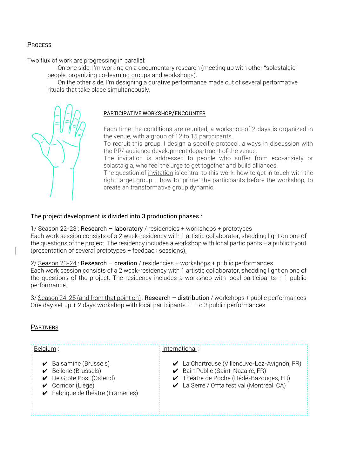# **PROCESS**

Two flux of work are progressing in parallel:

On one side, I'm working on a documentary research (meeting up with other "solastalgic" people, organizing co-learning groups and workshops).

On the other side, I'm designing a durative performance made out of several performative rituals that take place simultaneously.



# PARTICIPATIVE WORKSHOP/ENCOUNTER

Each time the conditions are reunited, a workshop of 2 days is organized in the venue, with a group of 12 to 15 participants.

To recruit this group, I design a specific protocol, always in discussion with the PR/ audience development department of the venue.

The invitation is addressed to people who suffer from eco-anxiety or solastalgia, who feel the urge to get together and build alliances.

The question of invitation is central to this work: how to get in touch with the right target group + how to 'prime' the participants before the workshop, to create an transformative group dynamic.

### The project development is divided into 3 production phases :

1/ Season 22-23 : Research – laboratory / residencies + workshops + prototypes

Each work session consists of a 2 week-residency with 1 artistic collaborator, shedding light on one of the questions of the project. The residency includes a workshop with local participants + a public tryout (presentation of several prototypes + feedback sessions).

2/ Season 23-24 : Research – creation / residencies + workshops + public performances

Each work session consists of a 2 week-residency with 1 artistic collaborator, shedding light on one of the questions of the project. The residency includes a workshop with local participants + 1 public performance.

3/ Season 24-25 (and from that point on) : Research – distribution / workshops + public performances One day set up + 2 days workshop with local participants + 1 to 3 public performances.

# **PARTNERS**

| Belgium :                                                                                                                                                                               | International:                                                                                                                                                      |
|-----------------------------------------------------------------------------------------------------------------------------------------------------------------------------------------|---------------------------------------------------------------------------------------------------------------------------------------------------------------------|
| $\triangleright$ Balsamine (Brussels)<br>$\triangleright$ Bellone (Brussels)<br>$\triangleright$ De Grote Post (Ostend)<br>$\vee$ Corridor (Liège)<br>► Fabrique de théâtre (Frameries) | La Chartreuse (Villeneuve-Lez-Avignon, FR)<br>Bain Public (Saint-Nazaire, FR)<br>✔ Théâtre de Poche (Hédé-Bazouges, FR)<br>La Serre / Offta festival (Montréal, CA) |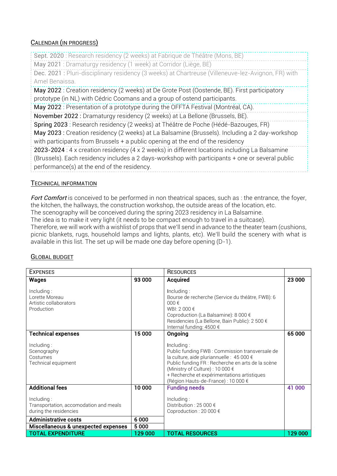# CALENDAR (IN PROGRESS)

Sept. 2020 : Research residency (2 weeks) at Fabrique de Théâtre (Mons, BE) May 2021 : Dramaturgy residency (1 week) at Corridor (Liège, BE) Dec. 2021 : Pluri-disciplinary residency (3 weeks) at Chartreuse (Villeneuve-lez-Avignon, FR) with Amel Benaissa. May 2022 : Creation residency (2 weeks) at De Grote Post (Oostende, BE). First participatory prototype (in NL) with Cédric Coomans and a group of ostend participants. May 2022 : Presentation of a prototype during the OFFTA Festival (Montréal, CA). November 2022 : Dramaturgy residency (2 weeks) at La Bellone (Brussels, BE). Spring 2023 : Research residency (2 weeks) at Théâtre de Poche (Hédé-Bazouges, FR) May 2023 : Creation residency (2 weeks) at La Balsamine (Brussels). Including a 2 day-workshop with participants from Brussels + a public opening at the end of the residency 2023-2024 : 4 x creation residency (4 x 2 weeks) in different locations including La Balsamine (Brussels). Each residency includes a 2 days-workshop with participants + one or several public performance(s) at the end of the residency.

# TECHNICAL INFORMATION

Fort Comfort is conceived to be performed in non theatrical spaces, such as : the entrance, the foyer, the kitchen, the hallways, the construction workshop, the outside areas of the location, etc.

The scenography will be conceived during the spring 2023 residency in La Balsamine.

The idea is to make it very light (it needs to be compact enough to travel in a suitcase).

Therefore, we will work with a wishlist of props that we'll send in advance to the theater team (cushions, picnic blankets, rugs, household lamps and lights, plants, etc). We'll build the scenery with what is available in this list. The set up will be made one day before opening (D-1).

# GLOBAL BUDGET

| <b>EXPENSES</b>                                                                                                                                      |                 | <b>RESOURCES</b>                                                                                                                                                                                                                                                                        |         |
|------------------------------------------------------------------------------------------------------------------------------------------------------|-----------------|-----------------------------------------------------------------------------------------------------------------------------------------------------------------------------------------------------------------------------------------------------------------------------------------|---------|
| <b>Wages</b>                                                                                                                                         | 93 000          | <b>Acquired</b>                                                                                                                                                                                                                                                                         | 23 000  |
| Including:<br>Lorette Moreau<br>Artistic collaborators<br>Production                                                                                 |                 | Including:<br>Bourse de recherche (Service du théâtre, FWB): 6<br>$000 \in$<br>WBI: $2000 \text{ } \in$<br>Coproduction (La Balsamine): 8 000 €<br>Residencies (La Bellone, Bain Public): 2 500 €<br>Internal funding: 4500 €                                                           |         |
| <b>Technical expenses</b>                                                                                                                            | 15 000          | Ongoing                                                                                                                                                                                                                                                                                 | 65 000  |
| Including:<br>Scenography<br>Costumes<br>Technical equipment                                                                                         |                 | Including:<br>Public funding FWB: Commission transversale de<br>la culture, aide pluriannuelle : 45 000 €<br>Public funding FR : Recherche en arts de la scène<br>(Ministry of Culture): 10 000 €<br>+ Recherche et expérimentations artistiques<br>(Région Hauts-de-France) : 10 000 € |         |
| <b>Additional fees</b>                                                                                                                               | 10 000          | <b>Funding needs</b>                                                                                                                                                                                                                                                                    | 41 000  |
| Including:<br>Transportation, accomodation and meals<br>during the residencies<br><b>Administrative costs</b><br>Miscellaneous & unexpected expenses | 6000<br>5 0 0 0 | Including:<br>Distribution: 25 000 $\epsilon$<br>Coproduction : 20 000 €                                                                                                                                                                                                                |         |
| <b>TOTAL EXPENDITURE</b>                                                                                                                             | 129 000         | <b>TOTAL RESOURCES</b>                                                                                                                                                                                                                                                                  | 129 000 |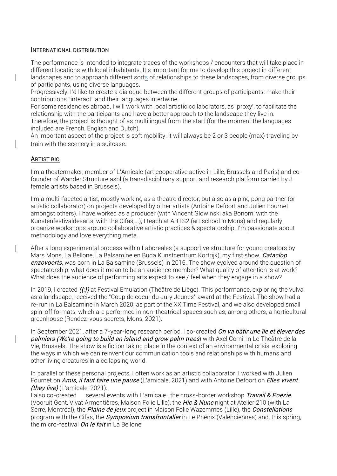#### INTERNATIONAL DISTRIBUTION

The performance is intended to integrate traces of the workshops / encounters that will take place in different locations with local inhabitants. It's important for me to develop this project in different landscapes and to approach different sorts of relationships to these landscapes, from diverse groups of participants, using diverse languages.

Progressively, I'd like to create a dialogue between the different groups of participants: make their contributions "interact" and their languages intertwine.

For some residencies abroad, I will work with local artistic collaborators, as 'proxy', to facilitate the relationship with the participants and have a better approach to the landscape they live in.

Therefore, the project is thought of as multilingual from the start (for the moment the languages included are French, English and Dutch).

An important aspect of the project is soft mobility: it will always be 2 or 3 people (max) traveling by train with the scenery in a suitcase.

### ARTIST BIO

I'm a theatermaker, member of L'Amicale (art cooperative active in Lille, Brussels and Paris) and cofounder of Wander Structure asbl (a transdisciplinary support and research platform carried by 8 female artists based in Brussels).

I'm a multi-faceted artist, mostly working as a theatre director, but also as a ping pong partner (or artistic collaborator) on projects developed by other artists (Antoine Defoort and Julien Fournet amongst others). I have worked as a producer (with Vincent Glowinski aka Bonom, with the Kunstenfestivaldesarts, with the Cifas,...), I teach at ARTS2 (art school in Mons) and regularly organize workshops around collaborative artistic practices & spectatorship. I'm passionate about methodology and love everything meta.

After a long experimental process within Laboreales (a supportive structure for young creators by Mars Mons, La Bellone, La Balsamine en Buda Kunstcentrum Kortrijk), my first show, *Cataclop* enzovoorts, was born in La Balsamine (Brussels) in 2016. The show evolved around the question of spectatorship: what does it mean to be an audience member? What quality of attention is at work? What does the audience of performing arts expect to see / feel when they engage in a show?

In 2019, I created ({:}) at Festival Emulation (Théâtre de Liège). This performance, exploring the vulva as a landscape, received the "Coup de coeur du Jury Jeunes" award at the Festival. The show had a re-run in La Balsamine in March 2020, as part of the XX Time Festival, and we also developed small spin-off formats, which are performed in non-theatrical spaces such as, among others, a horticultural greenhouse (Rendez-vous secrets, Mons, 2021).

In September 2021, after a 7-year-long research period, I co-created On va bâtir une île et élever des palmiers (We're going to build an island and grow palm trees) with Axel Cornil in Le Théâtre de la Vie, Brussels. The show is a fiction taking place in the context of an environmental crisis, exploring the ways in which we can reinvent our communication tools and relationships with humans and other living creatures in a collapsing world.

In parallel of these personal projects, I often work as an artistic collaborator: I worked with Julien Fournet on *Amis, il faut faire une pause* (L'amicale, 2021) and with Antoine Defoort on *Elles vivent*  $(thev live)$  (L'amicale, 2021).

I also co-created several events with L'amicale : the cross-border workshop Travail & Poezie (Vooruit Gent, Vivat Armentières, Maison Folie Lille), the Hic & Nunc night at Atelier 210 (with La Serre, Montréal), the *Plaine de jeux* project in Maison Folie Wazemmes (Lille), the *Constellations* program with the Cifas, the *Symposium transfrontalier* in Le Phénix (Valenciennes) and, this spring, the micro-festival *On le fait* in La Bellone.